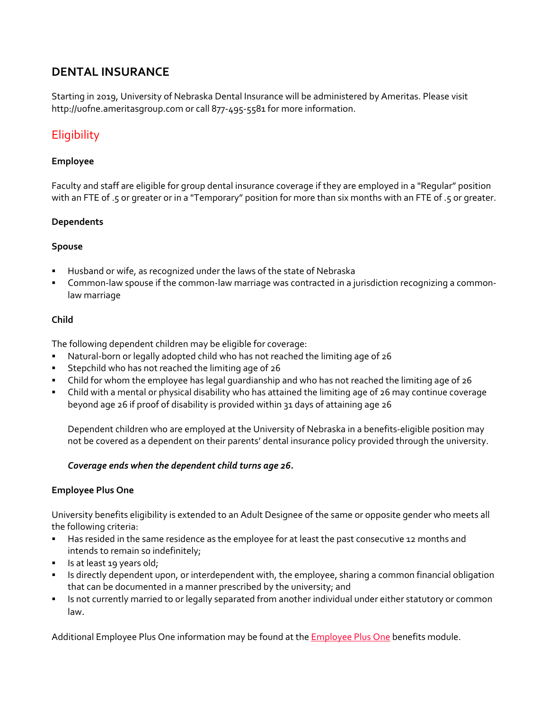# **DENTAL INSURANCE**

Starting in 2019, University of Nebraska Dental Insurance will be administered by Ameritas. Please visit http://uofne.ameritasgroup.com or call 877‐495‐5581 for more information.

# **Eligibility**

### **Employee**

Faculty and staff are eligible for group dental insurance coverage if they are employed in a "Regular" position with an FTE of .5 or greater or in a "Temporary" position for more than six months with an FTE of .5 or greater.

### **Dependents**

#### **Spouse**

- Husband or wife, as recognized under the laws of the state of Nebraska
- Common-law spouse if the common-law marriage was contracted in a jurisdiction recognizing a commonlaw marriage

### **Child**

The following dependent children may be eligible for coverage:

- Natural-born or legally adopted child who has not reached the limiting age of 26
- Stepchild who has not reached the limiting age of 26
- Child for whom the employee has legal guardianship and who has not reached the limiting age of 26
- Child with a mental or physical disability who has attained the limiting age of 26 may continue coverage beyond age 26 if proof of disability is provided within 31 days of attaining age 26

Dependent children who are employed at the University of Nebraska in a benefits‐eligible position may not be covered as a dependent on their parents' dental insurance policy provided through the university.

#### *Coverage ends when the dependent child turns age 26.*

#### **Employee Plus One**

University benefits eligibility is extended to an Adult Designee of the same or opposite gender who meets all the following criteria:

- Has resided in the same residence as the employee for at least the past consecutive 12 months and intends to remain so indefinitely;
- Is at least 19 years old;
- Inter 15 directly dependent upon, or interdependent with, the employee, sharing a common financial obligation that can be documented in a manner prescribed by the university; and
- **IS not currently married to or legally separated from another individual under either statutory or common** law.

Additional Employee Plus One information may be found at the **Employee Plus One benefits module.**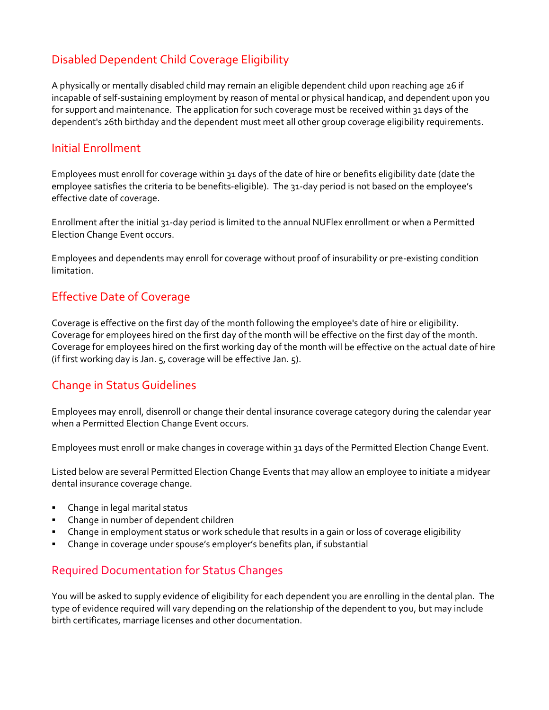# Disabled Dependent Child Coverage Eligibility

A physically or mentally disabled child may remain an eligible dependent child upon reaching age 26 if incapable of self‐sustaining employment by reason of mental or physical handicap, and dependent upon you for support and maintenance. The application for such coverage must be received within 31 days of the dependent's 26th birthday and the dependent must meet all other group coverage eligibility requirements.

### Initial Enrollment

Employees must enroll for coverage within 31 days of the date of hire or benefits eligibility date (date the employee satisfies the criteria to be benefits-eligible). The 31-day period is not based on the employee's effective date of coverage.

Enrollment after the initial 31‐day period is limited to the annual NUFlex enrollment or when a Permitted Election Change Event occurs.

Employees and dependents may enroll for coverage without proof of insurability or pre‐existing condition limitation.

# Effective Date of Coverage

Coverage is effective on the first day of the month following the employee's date of hire or eligibility. Coverage for employees hired on the first day of the month will be effective on the first day of the month. Coverage for employees hired on the first working day of the month will be effective on the actual date of hire (if first working day is Jan. 5, coverage will be effective Jan. 5).

# Change in Status Guidelines

Employees may enroll, disenroll or change their dental insurance coverage category during the calendar year when a Permitted Election Change Event occurs.

Employees must enroll or make changes in coverage within 31 days of the Permitted Election Change Event.

Listed below are several Permitted Election Change Events that may allow an employee to initiate a midyear dental insurance coverage change.

- **EXEC** Change in legal marital status
- Change in number of dependent children
- Change in employment status or work schedule that results in a gain or loss of coverage eligibility
- Change in coverage under spouse's employer's benefits plan, if substantial

# Required Documentation for Status Changes

You will be asked to supply evidence of eligibility for each dependent you are enrolling in the dental plan. The type of evidence required will vary depending on the relationship of the dependent to you, but may include birth certificates, marriage licenses and other documentation.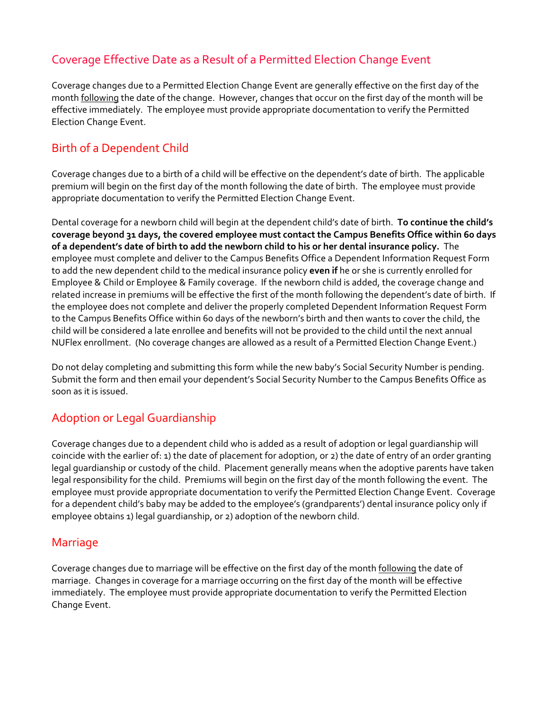# Coverage Effective Date as a Result of a Permitted Election Change Event

Coverage changes due to a Permitted Election Change Event are generally effective on the first day of the month **following** the date of the change. However, changes that occur on the first day of the month will be effective immediately. The employee must provide appropriate documentation to verify the Permitted Election Change Event.

# Birth of a Dependent Child

Coverage changes due to a birth of a child will be effective on the dependent's date of birth. The applicable premium will begin on the first day of the month following the date of birth. The employee must provide appropriate documentation to verify the Permitted Election Change Event.

Dental coverage for a newborn child will begin at the dependent child's date of birth. **To continue the child's coverage beyond 31 days, the covered employee must contact the Campus Benefits Office within 60 days** of a dependent's date of birth to add the newborn child to his or her dental insurance policy. The employee must complete and deliver to the Campus Benefits Office a Dependent Information Request Form to add the new dependent child to the medical insurance policy **even if** he or she is currently enrolled for Employee & Child or Employee & Family coverage. If the newborn child is added, the coverage change and related increase in premiums will be effective the first of the month following the dependent's date of birth. If the employee does not complete and deliver the properly completed Dependent Information Request Form to the Campus Benefits Office within 60 days of the newborn's birth and then wants to cover the child, the child will be considered a late enrollee and benefits will not be provided to the child until the next annual NUFlex enrollment. (No coverage changes are allowed as a result of a Permitted Election Change Event.)

Do not delay completing and submitting this form while the new baby's Social Security Number is pending. Submit the form and then email your dependent's Social Security Number to the Campus Benefits Office as soon as it is issued.

# Adoption or Legal Guardianship

Coverage changes due to a dependent child who is added as a result of adoption or legal guardianship will coincide with the earlier of: 1) the date of placement for adoption, or 2) the date of entry of an order granting legal guardianship or custody of the child. Placement generally means when the adoptive parents have taken legal responsibility for the child. Premiums will begin on the first day of the month following the event. The employee must provide appropriate documentation to verify the Permitted Election Change Event. Coverage for a dependent child's baby may be added to the employee's (grandparents') dental insurance policy only if employee obtains 1) legal quardianship, or 2) adoption of the newborn child.

### Marriage

Coverage changes due to marriage will be effective on the first day of the month following the date of marriage. Changes in coverage for a marriage occurring on the first day of the month will be effective immediately. The employee must provide appropriate documentation to verify the Permitted Election Change Event.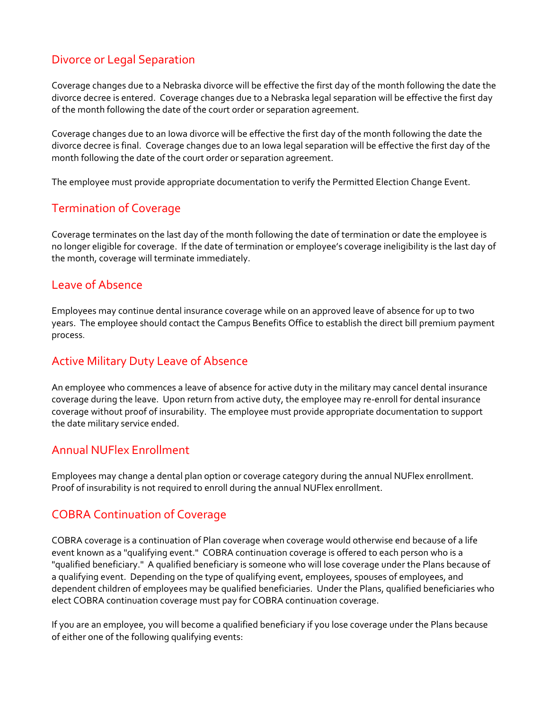# Divorce or Legal Separation

Coverage changes due to a Nebraska divorce will be effective the first day of the month following the date the divorce decree is entered. Coverage changes due to a Nebraska legal separation will be effective the first day of the month following the date of the court order or separation agreement.

Coverage changes due to an Iowa divorce will be effective the first day of the month following the date the divorce decree is final. Coverage changes due to an Iowa legal separation will be effective the first day of the month following the date of the court order or separation agreement.

The employee must provide appropriate documentation to verify the Permitted Election Change Event.

# Termination of Coverage

Coverage terminates on the last day of the month following the date of termination or date the employee is no longer eligible for coverage. If the date of termination or employee's coverage ineligibility is the last day of the month, coverage will terminate immediately.

### Leave of Absence

Employees may continue dental insurance coverage while on an approved leave of absence for up to two years. The employee should contact the Campus Benefits Office to establish the direct bill premium payment process.

# Active Military Duty Leave of Absence

An employee who commences a leave of absence for active duty in the military may cancel dental insurance coverage during the leave. Upon return from active duty, the employee may re-enroll for dental insurance coverage without proof of insurability. The employee must provide appropriate documentation to support the date military service ended.

# Annual NUFlex Enrollment

Employees may change a dental plan option or coverage category during the annual NUFlex enrollment. Proof of insurability is not required to enroll during the annual NUFlex enrollment.

# COBRA Continuation of Coverage

COBRA coverage is a continuation of Plan coverage when coverage would otherwise end because of a life event known as a "qualifying event." COBRA continuation coverage is offered to each person who is a "qualified beneficiary." A qualified beneficiary is someone who will lose coverage under the Plans because of a qualifying event. Depending on the type of qualifying event, employees, spouses of employees, and dependent children of employees may be qualified beneficiaries. Under the Plans, qualified beneficiaries who elect COBRA continuation coverage must pay for COBRA continuation coverage.

If you are an employee, you will become a qualified beneficiary if you lose coverage under the Plans because of either one of the following qualifying events: